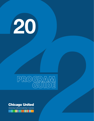# 20

# PROGRAM GUIDE



Advancing multiracial leadership in business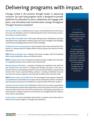# Delivering programs with impact.

Chicago United is the premier thought leader in advancing inclusion. Our year-long program series is designed to provide platforms for attendees to learn, collaborate and engage with peers, and ultimately lead transformative change throughout Chicago's business ecosystem.

**CEO Roundtable Series:** Confidential, peer-to-peer, host-facilitated forums that discuss the issues and challenges critical to implementing bold actions that develop, advance, and sustain an inclusive culture.

**Diversity Officer Roundtable Series:** Peer-to-peer learning sessions facilitated by executives responsible for their organization's diversity, equity, and inclusion strategies, that investigate current trends and leading practices for less common challenges.

**Employee Resource Group Symposium:** A prime opportunity to learn best practices from experts on creating models for highly effective resource groups that advance business imperatives.

NEW! **Mid-level Manager Series**: Programs that equip managers with the leadership skills to build collaborative, diverse and effective teams.

NEW! **Emerging Leader Series:** Young diverse professionals gain insights from executives on navigating corporate culture toward career advancement.

**Minority Business Partnerships:** A network of Chicago-area corporations who select five local minority firms and commit to helping them develop and grow in scale over a period of five years. Participating companies receive benchmarking tools and partnering minority firms receive capacity-building assistance, including coordinated resources from technical assistance agencies and nonprofits to address their individual needs.

NEW! **Business Leaders of Color (BLC) Series:** This new program series supports the growth and achievement of selected Business Leaders of Color. Participants will learn innovations and share ideas to become prime candidates for corporate Board of Directors' positions.

**Corporate Inclusion Institute (CII):** Established in 2019, this nine-month comprehensive talent development program helps organizations harness the power of inclusion, deliver cultural transformation and drive business performance. Participating corporations are improving their employee experience and retention and strengthening their ability to return value to shareholders.

**Inside Inclusion:** A research publication that provides a complete review of the status of diversity and inclusion progress in Chicago's top corporations.

# **Our Vision**

To transform the Chicago region into the most inclusive business ecosystem in the nation.

# **Our Mission**

To achieve parity in economic opportunity for people of color by advancing multiracial leadership in corporate governance, expanding the talent pipeline for executive level management, and growing minority businesses.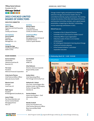# President & CEO **Chicago United**

. . . .

# **2022 CHICAGO UNITED BOARD OF DIRECTORS**

# **EXECUTIVE COMMITTEE**

**Chairman John C. Robak** Chairman and Chief Executive Officer Greeley and Hansen

#### **Vice Chairman**

**Darrel Hackett** President BMO Wealth Management - U.S.

#### **Treasurer**

**George Burciaga**  Chief Executive Officer IGNITE CITIES

# **BOARD MEMBERS**

**Aurora Austriaco** Shareholder Valentine Austriaco & Bueschel, P.C.

**Tim Crane**  President Wintrust Financial Corporation

**Cristy Garcia-Thomas** Chief External Affairs Officer Advocate Aurora Health

**Maurice Grant** Principal Grant Law, LLC

**Nidhi Kapoor** President RK Management Consultants, Inc.

**James P. Kolar** PwC Board Member and Former Central Market Managing Partner PwC LLP

**Sam Pambah**  Principal KPMG LLP

**Secretary Nichole Owens** Vice President, Customer Channels ComEd, An Exelon Company

**Investment Officer Santino Bibbo**

Corporate Finance Cabrera Capital Markets

Managing Director & Head of

**Erika Patterson** Director, Americas Corporate Responsibility Leader EY

**Andrea Sáenz** Chief Operating Officer The Chicago Community Trust

**Katherine M. Scherer** Vice Chair, Central Region Marketplace Leader and Managing Partner, Chicago Office Deloitte US

**Karriem Shakoor** Senior Vice President - Chief Information Officer UL

**Manika Turnbull** Senior Vice President and Chief Human Resources Officer Blue Cross and Blue Shield of Illinois

# **Tiffany Hamel Johnson ANNUAL MEETING**

Chicago United's highly anticipated Annual Meeting welcomes Chicago-area business leaders who are committed to diversity, equity, and inclusion. The meeting includes the election of the 2022-2023 Board of Directors and Executive Committee members, and a special awards presentation, recognizing our Members' outstanding, mission-advancing contributions in 2021.

# **Attend if you are:**

- A member of the CU Board of Directors
- A member of CU's CEO Council or Leaders Council
- A Diversity Officer in your organization
- A Business Leader of Color or a CU member company guest
- An invited guest interested in learning about Chicago United and inclusion advocacy
- A Five Forward Initiative™ committed corporation executive

# **Wednesday, March 30 8:00 - 9:30 AM**

**Virtual Event**

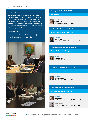# **CEO ROUNDTABLE SERIES**

Regardless of business, industry or organization, seniorlevel leaders and C-suite executives share certain common responsibilities. Chicago United's unique CEO Roundtable Series is a collection of confidential, peer-to-peer, hostfacilitated forums that allow participants to identify and discuss the issues and challenges critical to implementing bold actions that develop, advance, and sustain an inclusive culture throughout their enterprises.

# **Attend if you are:**

• A member of Chicago United's CEO Council (guests and representatives are not eligible.)



# **Tuesday, March 29 8:00 - 9:30 AM Tuesday, June 14 9:30 - 11:00 AM Virtual Event 33 South State St, Suite 750, Chicago, IL Hosted by: Carrie Steyer** General Manager, Slalom Chicago **Hosted by: Helene Gayle** President and CEO, The Chicago Community Trust **353 North Clark Street, Chicago, IL Tuesday, September 20 8:00 - 9:30 AM Hosted by: Natalie Brown** President, Mesirow Financial **Thursday, October 13 8:00 - 9:30 AM**

**2 Lincoln Center, Oak Brook Terrace, IL**



**Hosted by: Gil C. Quiniones** Chief Executive Officer, ComEd

# **Tuesday, October 26 8:00 - 9:30 AM**

**320 South Canal Street, Chicago, IL**



# **Hosted by: David Casper** U.S. Chief Executive Officer, BMO Financial Group



**Darrel Hackett** President, BMO Wealth Management - U.S.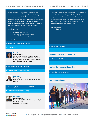Chicago United's Diversity Officer Roundtable Series features peer-to-peer learning sessions facilitated by executives responsible for their organization's diversity, equity, and inclusion strategies. With a focus on instructive analysis of current trends and leading practices, these programs provide participants with the insight needed to lead an organization towards an inclusive culture.

# **Attend if you are:**

- A Human Resources Executive
- A Diversity, Equity, and Inclusion Officer
- A business leader responsible for inclusive talent development

## **Tuesday, March 15 8:30 - 9:30 AM**

## **Virtual Event**



# **Hosted by:**

**Kathryn Medina**  Senior Vice-President of People & Culture, Chief Human Resources Officer and Director of the Office of Minority and Women Inclusion Federal Reserve Bank of Chicago

# **Tuesday, May 24 8:30 - 10:00 AM**

# **1844 West Ferry Road, Naperville, IL**



## **Hosted by: Emeka Igwilo**

Chief Data Officer and VP Operations Support Nicor Gas

# **Wednesday, September 28 8:30 - 10:00 AM**

**110 North Carpenter Street, Chicago, IL**



#### **Hosted by: Reginald J. Miller** Vice President, Global Chief Diversity, Equity, & Inclusion Officer McDonald's Corporation

# **DIVERSITY OFFICER ROUNDTABLE SERIES BUSINESS LEADERS OF COLOR (BLC) SERIES**

Through the Business Leaders of Color (BLC) Series, Chicago United identifies innovative, global thinkers to share insights on corporate board governance. Programming in this series brings together BLCs to connect to corporate board directorships and engage with accomplished and diverse Chicago-area business executives.

# **Attend if you are:**

• A 2021 Business Leader of Color

**May 8:30 - 10:30 AM**

# **Introduction to Board Governance**

**July 5:00 - 7:00 PM**

# **Making the Connection Reception**

**November 8:30 - 10:00 AM**

# **Board Bio Workshop**

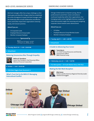# **MID-LEVEL MANAGER SERIES**

Mid-level managers often face unique challenges as their teams grow and diversify. Chicago United has established this series of programs to equip mid-level managers with the leadership skills to build collaborative and effective teams and further impact their organization's diversity, equity, and inclusion practices.

# **Attend if you are:**

- CII Corporate Guide
- Employee Resource Group Leader
- Member Company Employee

**Sponsored by**

# IRI IST

# **Thursday, March 24 8:30 - 10:00 AM**

**Virtual Event**

# **Reducing Unconscious Bias Through Empathy**



**Melissa B. Donaldson** Senior Vice President, Chief Diversity Officer Wintrust Financial Corporation

# **October 8:30 - 10:00 AM**

**9700 West Higgins Road, Rosemont, IL**

# **What's Trust Got to Do With It? Managing Intercultural Conflict**

# **EMERGING LEADER SERIES**

Chicago United works to empower young, diverse professionals to pivot their careers and advance multiracial leadership within their organizations. Our Emerging Leaders series highlights Business Leaders of Color who provide insight into assessing and navigating corporate culture toward career advancement.

# **Attend if you are:**

- CII Fellow
- Employee Resource Group Member/Leader
- Member Company Employee

#### **Tuesday, April 5 1:00 - 2:00 PM**

**Virtual Event**

# **A Guide to Advancing Your Career**



**Tracie Morris** U.S. Chief Human Resources and Diversity and Inclusion Officer BMO Financial Group

- **Wednesday, June 22 5:00 7:00 PM**
- **The Metropolitan 233 South Wacker Drive, 67th Floor**

# **Making the Net Work Reception**



## **Billy Dexter** Partner and the Americas Regional Diversity Leader Heidrick & Struggles



**Chicago United** . . . . .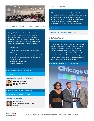

# **EMPLOYEE RESOURCE GROUP SYMPOSIUM**

Chicago United convenes Employee Resource Group Leaders through this series of programs to create an incomparable peer-to-peer learning experience. Participating Senior-level ERGs will learn from thoughtleaders and experts as they share actionable strategies towards systemic change and cultural inclusiveness.

## **Attend if you are:**

- A Chief Human Resources Officer/Chief Diversity **Officer**
- An executive or senior human resources professional responsible for resourcing and/or developing ERGs in your organization
- An ERG Executive Sponsor
- An ERG Chair/Leader

# **Wednesday, March 2 1:00 - 2:00 PM**

# **Virtual Event**

# **Employee Resource Group Excellence**



**Dr. Robert Rodriguez** Founder and President DRR Advisors LLC

# **Tuesday, October 25 8:30 - 10:30 AM**

**1 N. Wacker Drive, 9th Floor, Chicago**

# **Leading with Purpose**



**Shannon Schuyler** Chief Purpose and Inclusion Officer PwC US

# **CU THERE! EVENTS**

Offering a chance to engage outside the office, Chicago United's CU There! Events are special occasions welcoming the Chicago United community to interact outside the office or boardroom. These informal, festive social gatherings are created to inspire conversations that ultimately lead to advocacy initiatives and solutions.

# **October 2022**

# **Inside Inclusion Member and BLC Reception**

# **BRIDGE AWARDS**

Established in 2004, Chicago United presents the Bridge Awards to Chief Executive Officers whose efforts have helped drive inclusion in corporate governance and executive-level management. This highly anticipated evening of celebration and entertainment features the presentation of two awards – the National Bridge Award and the Chicago Bridge Award — and gathers advocates together to share aspirations and experiences.

**hicag** 

 **Wednesday, November 16 5:30 - 9:00 PM**



# **Chicago United**

. . . . .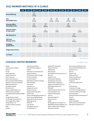# **2022 MEMBER MEETINGS AT A GLANCE**

|                                                      | <b>JAN</b> | <b>FEB</b> | <b>MAR</b>                            | <b>APR</b>               | <b>MAY</b>                     | <b>JUN</b>                 | <b>JUL</b>                    | <b>AUG</b> | <b>SEP</b>                 | <b>OCT</b>                     | <b>NOV</b>                     | <b>DEC</b> |
|------------------------------------------------------|------------|------------|---------------------------------------|--------------------------|--------------------------------|----------------------------|-------------------------------|------------|----------------------------|--------------------------------|--------------------------------|------------|
| <b>Annual Meeting</b>                                |            |            | 30<br>$8:00 -$<br>9:30 AM             |                          |                                |                            |                               |            |                            |                                |                                |            |
| <b>CEO</b><br><b>Roundtable Series</b>               |            |            | 29<br>$8:00 -$<br>9:30 AM             |                          |                                | 14<br>$9:30 -$<br>11:00 AM | 15<br>$8:00 -$<br>9:30 AM     |            | 20<br>$8:00 -$<br>9:30 AM  | 13<br>$8:00 -$<br>9:30 AM      |                                |            |
| <b>Diversity Officer</b><br><b>Roundtable Series</b> |            |            | 15<br>$8:30 -$<br>9:30 AM             |                          | 24<br>$8:30 -$<br>10:00 AM     |                            |                               |            | 28<br>$8:30 -$<br>10:00 AM |                                |                                |            |
| <b>Business Leaders</b><br>of Color Series           |            |            |                                       |                          | $\ast$<br>$8:30 -$<br>10:30 AM |                            | $\ast$<br>$5:00 -$<br>7:00 PM |            |                            |                                | $\ast$<br>$8:30 -$<br>10:30 AM |            |
| <b>ERG Symposium</b>                                 |            |            | $\overline{2}$<br>$1:00 -$<br>2:00 PM |                          |                                |                            |                               |            |                            | 25<br>$8:30 -$<br>10:30 AM     |                                |            |
| Mid-level<br><b>Manager Series</b>                   |            |            | 24<br>$8:30 -$<br>10:00 AM            |                          |                                |                            |                               |            |                            | $\ast$<br>$8:30 -$<br>10:30 AM |                                |            |
| <b>Emerging</b><br><b>Leader Series</b>              |            |            |                                       | 5<br>$1:00 -$<br>2:00 PM |                                | 22<br>$5:00 -$<br>7:00 PM  |                               |            |                            |                                |                                |            |
| <b>Bridge Awards Dinner</b>                          |            |            |                                       |                          |                                |                            |                               |            |                            |                                | 16<br>$5:30 -$<br>9:00 PM      |            |
| C U There!                                           |            |            |                                       |                          |                                |                            |                               |            |                            | $\ast$<br>$5:00 -$<br>7:00 PM  |                                |            |

\* Date coming soon.

# **CHICAGO UNITED MEMBERS** (AS OF MARCH 1, 2022)

Abbott Advocate Aurora Health Amazon Aon plc Ariel Investments Astellas Pharma US Bank of America Baxter International Inc. Blue Cross Blue Shield of Illinois/ Health Care Service Corporation BMO Harris Bank N.A. The Boldt Company BP America Inc. Cabrera Capital Markets, LLC California American Water The Caroline and Ora Smith Foundation CDW Chicago Botanic Garden The Chicago Community Trust The Chicago Urban League Clarity Partners, LLC ComEd, An Exelon Company CSMI Deloitte

Delta Dental of Illinois Diversified Technology, Inc. DivIHN Dominican University Brennan School of Business The Economic Club of Chicago Envision Unlimited Ernst & Young LLP Federal Reserve Bank of Chicago Fifth Third Bank Franczek P.C. Grant Law, LLC Greeley and Hansen Hispanic Housing Development Corporation IGNITE CITIES Johnson, Blumberg & Associates, LLC Kairos Consulting Worldwide Katten Muchin Rosenman LLP KDM Engineering KPMG LLP Laner Muchin LDK Advisory Services LSL Healthcare Inc.

McDonald's Corporation Mesirow Financial Mitchell Titus MZI Group Inc. Nash Brothers Construction Co., Inc. Nicor Gas Northern Trust Northwestern Medicine Northwestern University Odell Hicks & Company, LLC Peoples Gas & North Shore Gas PMI Energy Solutions, LLC PNC Bank Prado & Renteria CPAs Prof. Corp. Primera Engineers, Ltd. Pritzker Private Capital PwC LLP Quarles & Brady LLP Reyes Group Ltd. RGMA RK Management Consultants, Inc. RME (Rubinos & Mesia Engineers, Inc.) Robert R. McCormick Foundation Roosevelt University

Rush University Medical Center Sanchez Daniels & Hoffman LLP SDI Presence LLC SEEL LLC Shapiro + Raj Sidley Austin LLP Slalom Consulting, LLC Spaulding Ridge, LLC Trilogy, Inc. Tovar Snow Professionals UL United Airlines University of Chicago University of Chicago Medicine University of Illinois at Chicago USG Corporation Valentine Austriaco & Bueschel, P.C. VisionIT Walgreens Weber Shandwick Wintrust Financial Corporation Wynndalco Enterprises, LLC

**Chicago United**